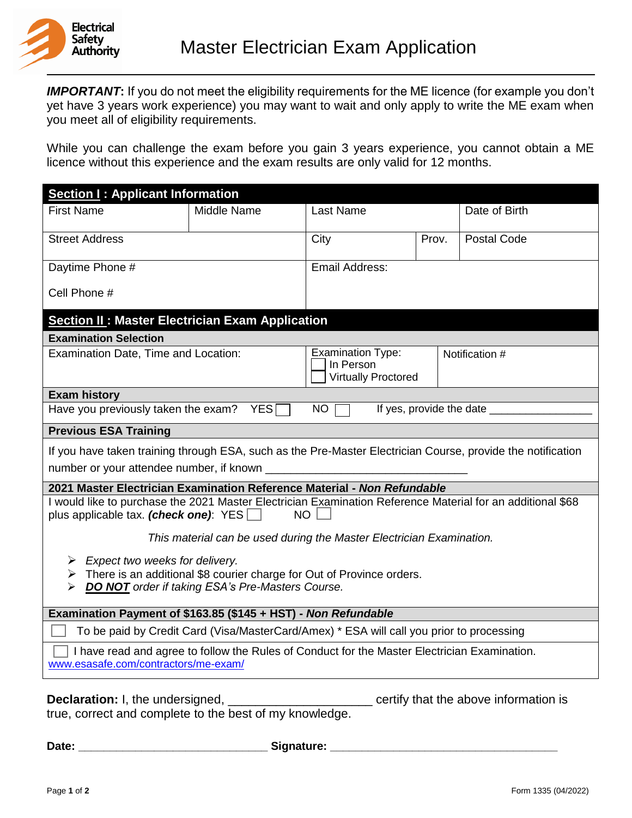

**IMPORTANT:** If you do not meet the eligibility requirements for the ME licence (for example you don't yet have 3 years work experience) you may want to wait and only apply to write the ME exam when you meet all of eligibility requirements.

While you can challenge the exam before you gain 3 years experience, you cannot obtain a ME licence without this experience and the exam results are only valid for 12 months.

| <b>Section I: Applicant Information</b>                                                                                                                                                                   |                    |                                                                     |       |                    |
|-----------------------------------------------------------------------------------------------------------------------------------------------------------------------------------------------------------|--------------------|---------------------------------------------------------------------|-------|--------------------|
| <b>First Name</b>                                                                                                                                                                                         | <b>Middle Name</b> | <b>Last Name</b>                                                    |       | Date of Birth      |
| <b>Street Address</b>                                                                                                                                                                                     |                    | City                                                                | Prov. | <b>Postal Code</b> |
| Daytime Phone #                                                                                                                                                                                           |                    | Email Address:                                                      |       |                    |
| Cell Phone #                                                                                                                                                                                              |                    |                                                                     |       |                    |
| <b>Section II: Master Electrician Exam Application</b>                                                                                                                                                    |                    |                                                                     |       |                    |
| <b>Examination Selection</b>                                                                                                                                                                              |                    |                                                                     |       |                    |
| Examination Date, Time and Location:                                                                                                                                                                      |                    | <b>Examination Type:</b><br>In Person<br><b>Virtually Proctored</b> |       | Notification #     |
| <b>Exam history</b>                                                                                                                                                                                       |                    |                                                                     |       |                    |
| If yes, provide the date _<br><b>NO</b><br>Have you previously taken the exam?<br><b>YES</b>                                                                                                              |                    |                                                                     |       |                    |
| <b>Previous ESA Training</b>                                                                                                                                                                              |                    |                                                                     |       |                    |
| If you have taken training through ESA, such as the Pre-Master Electrician Course, provide the notification<br>number or your attendee number, if known _                                                 |                    |                                                                     |       |                    |
| 2021 Master Electrician Examination Reference Material - Non Refundable                                                                                                                                   |                    |                                                                     |       |                    |
| I would like to purchase the 2021 Master Electrician Examination Reference Material for an additional \$68<br>plus applicable tax. (check one): YES<br><b>NO</b>                                          |                    |                                                                     |       |                    |
| This material can be used during the Master Electrician Examination.                                                                                                                                      |                    |                                                                     |       |                    |
| $\triangleright$ Expect two weeks for delivery.<br>$\triangleright$ There is an additional \$8 courier charge for Out of Province orders.<br><b>DO NOT</b> order if taking ESA's Pre-Masters Course.<br>⋗ |                    |                                                                     |       |                    |
| Examination Payment of \$163.85 (\$145 + HST) - Non Refundable                                                                                                                                            |                    |                                                                     |       |                    |
| To be paid by Credit Card (Visa/MasterCard/Amex) * ESA will call you prior to processing                                                                                                                  |                    |                                                                     |       |                    |
| I have read and agree to follow the Rules of Conduct for the Master Electrician Examination.<br>www.esasafe.com/contractors/me-exam/                                                                      |                    |                                                                     |       |                    |
|                                                                                                                                                                                                           |                    |                                                                     |       |                    |

**Declaration:** I, the undersigned, \_\_\_\_\_\_\_\_\_\_\_\_\_\_\_\_\_\_\_\_\_\_\_ certify that the above information is true, correct and complete to the best of my knowledge.

**Date: \_\_\_\_\_\_\_\_\_\_\_\_\_\_\_\_\_\_\_\_\_\_\_\_\_\_\_\_\_\_ Signature: \_\_\_\_\_\_\_\_\_\_\_\_\_\_\_\_\_\_\_\_\_\_\_\_\_\_\_\_\_\_\_\_\_\_\_\_**